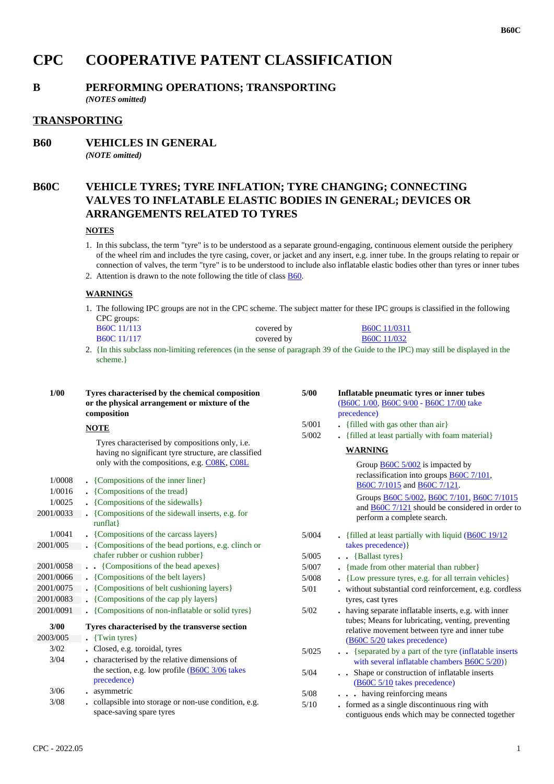# **CPC COOPERATIVE PATENT CLASSIFICATION**

# **B PERFORMING OPERATIONS; TRANSPORTING**

*(NOTES omitted)*

# **TRANSPORTING**

**B60 VEHICLES IN GENERAL** *(NOTE omitted)*

# **B60C VEHICLE TYRES; TYRE INFLATION; TYRE CHANGING; CONNECTING VALVES TO INFLATABLE ELASTIC BODIES IN GENERAL; DEVICES OR ARRANGEMENTS RELATED TO TYRES**

#### **NOTES**

1. In this subclass, the term "tyre" is to be understood as a separate ground-engaging, continuous element outside the periphery of the wheel rim and includes the tyre casing, cover, or jacket and any insert, e.g. inner tube. In the groups relating to repair or connection of valves, the term "tyre" is to be understood to include also inflatable elastic bodies other than tyres or inner tubes

2. Attention is drawn to the note following the title of class  $\underline{B60}$ .

# **WARNINGS**

1. The following IPC groups are not in the CPC scheme. The subject matter for these IPC groups is classified in the following CPC groups:

| B60C 11/113                   | covered by | <b>B60C</b> 11/0311           |
|-------------------------------|------------|-------------------------------|
| B60C 11/117                   | covered by | <b>B60C</b> 11/032            |
| $\mathbf{r}$ and $\mathbf{r}$ |            | $1.20 \t0.1.2 \t0.1 \t0.1.50$ |

2. {In this subclass non-limiting references (in the sense of paragraph 39 of the Guide to the IPC) may still be displayed in the scheme.}

| 1/00                                    | Tyres characterised by the chemical composition<br>or the physical arrangement or mixture of the<br>composition                                                               | 5/00           | Inflatable pneumatic tyres or inner tubes<br>(B60C 1/00, B60C 9/00 - B60C 17/00 take<br>precedence)                                                                                                                     |
|-----------------------------------------|-------------------------------------------------------------------------------------------------------------------------------------------------------------------------------|----------------|-------------------------------------------------------------------------------------------------------------------------------------------------------------------------------------------------------------------------|
|                                         | <b>NOTE</b>                                                                                                                                                                   | 5/001          | • {filled with gas other than air}                                                                                                                                                                                      |
|                                         | Tyres characterised by compositions only, i.e.<br>having no significant tyre structure, are classified<br>only with the compositions, e.g. CO8K, CO8L                         | 5/002          | . {filled at least partially with foam material}<br><b>WARNING</b><br>Group $B60C$ 5/002 is impacted by                                                                                                                 |
| 1/0008<br>1/0016<br>1/0025<br>2001/0033 | • {Compositions of the inner liner}<br>• {Compositions of the tread}<br>• {Compositions of the sidewalls}<br>• {Compositions of the sidewall inserts, e.g. for<br>$runflat$ } |                | reclassification into groups <b>B60C</b> 7/101,<br>B60C 7/1015 and B60C 7/121.<br>Groups B60C 5/002, B60C 7/101, B60C 7/1015<br>and $\frac{B60C}{7/121}$ should be considered in order to<br>perform a complete search. |
| 1/0041                                  | • {Compositions of the carcass layers}                                                                                                                                        | 5/004          | . {filled at least partially with liquid $(B60C 19/12)$                                                                                                                                                                 |
| 2001/005                                | $\blacksquare$ {Compositions of the bead portions, e.g. clinch or<br>chafer rubber or cushion rubber}                                                                         |                | takes precedence) }                                                                                                                                                                                                     |
| 2001/0058                               | . {Compositions of the bead apexes}                                                                                                                                           | 5/005<br>5/007 | {Ballast tyres}<br>$\blacksquare$ { made from other material than rubber}                                                                                                                                               |
| 2001/0066                               | • {Compositions of the belt layers}                                                                                                                                           | 5/008          | • {Low pressure tyres, e.g. for all terrain vehicles}                                                                                                                                                                   |
| 2001/0075                               | • {Compositions of belt cushioning layers}                                                                                                                                    | 5/01           | . without substantial cord reinforcement, e.g. cordless                                                                                                                                                                 |
| 2001/0083                               | • {Compositions of the cap ply layers}                                                                                                                                        |                | tyres, cast tyres                                                                                                                                                                                                       |
| 2001/0091                               | • {Compositions of non-inflatable or solid tyres}                                                                                                                             | 5/02           | . having separate inflatable inserts, e.g. with inner                                                                                                                                                                   |
| 3/00<br>2003/005                        | Tyres characterised by the transverse section<br>$\sqrt{$ {Twin tyres}                                                                                                        |                | tubes; Means for lubricating, venting, preventing<br>relative movement between tyre and inner tube<br>(B60C 5/20 takes precedence)                                                                                      |
| 3/02                                    | . Closed, e.g. toroidal, tyres                                                                                                                                                | 5/025          | {separated by a part of the tyre (inflatable inserts)                                                                                                                                                                   |
| 3/04                                    | . characterised by the relative dimensions of                                                                                                                                 |                | with several inflatable chambers $\angle B60C\ 5/20$ }                                                                                                                                                                  |
|                                         | the section, e.g. low profile $\underline{(B60C\ 3/06)}$ takes<br>precedence)                                                                                                 | 5/04           | Shape or construction of inflatable inserts<br>(B60C 5/10 takes precedence)                                                                                                                                             |
| 3/06                                    | • asymmetric                                                                                                                                                                  | 5/08           | . having reinforcing means                                                                                                                                                                                              |
| 3/08                                    | . collapsible into storage or non-use condition, e.g.<br>space-saving spare tyres                                                                                             | 5/10           | . formed as a single discontinuous ring with<br>contiguous ends which may be connected together                                                                                                                         |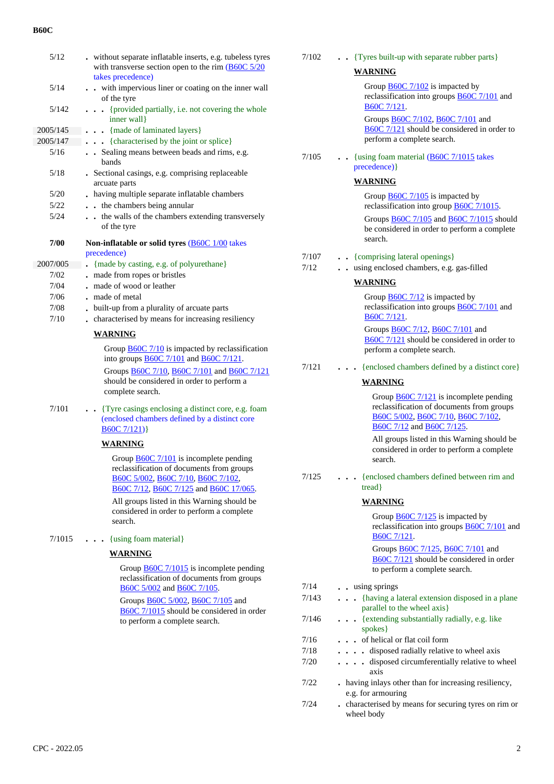| 5/12     | . without separate inflatable inserts, e.g. tubeless tyres<br>with transverse section open to the rim $\underline{(B60C 5/20)}$<br>takes precedence) |
|----------|------------------------------------------------------------------------------------------------------------------------------------------------------|
| 5/14     | with impervious liner or coating on the inner wall<br>of the tyre                                                                                    |
| 5/142    | {provided partially, i.e. not covering the whole<br>inner wall}                                                                                      |
| 2005/145 | {made of laminated layers}                                                                                                                           |
| 2005/147 | {characterised by the joint or splice}<br>$\cdots$                                                                                                   |
| 5/16     | Sealing means between beads and rims, e.g.<br>bands                                                                                                  |
| 5/18     | . Sectional casings, e.g. comprising replaceable<br>arcuate parts                                                                                    |
| 5/20     | . having multiple separate inflatable chambers                                                                                                       |
| 5/22     | the chambers being annular<br>$\ddot{\phantom{0}}$                                                                                                   |
| 5/24     | the walls of the chambers extending transversely<br>$\ddot{\phantom{0}}$<br>of the tyre                                                              |
| 7/00     | Non-inflatable or solid tyres ( <b>B60C</b> 1/00 takes<br>precedence)                                                                                |
| 2007/005 | {made by casting, e.g. of polyurethane}                                                                                                              |
| 7/02     | . made from ropes or bristles                                                                                                                        |
| 7/04     | . made of wood or leather                                                                                                                            |
| 7/06     | . made of metal                                                                                                                                      |
| 7/08     | . built-up from a plurality of arcuate parts                                                                                                         |
| 7/10     | characterised by means for increasing resiliency<br>$\cdot$                                                                                          |
|          | <b>WARNING</b>                                                                                                                                       |
|          | Group $\underline{B60C}$ 7/10 is impacted by reclassification<br>into groups <b>B60C</b> 7/101 and <b>B60C</b> 7/121.                                |
|          | Groups B60C 7/10, B60C 7/101 and B60C 7/121<br>should be considered in order to perform a<br>complete search.                                        |
| 7/101    | Tyre casings enclosing a distinct core, e.g. foam<br>(enclosed chambers defined by a distinct core<br>B60C7/121)                                     |
|          | WARNING                                                                                                                                              |
|          | Group <b>B60C</b> 7/101 is incomplete pending<br>reclassification of documents from groups                                                           |

B60C 5/002, B60C 7/10, B60C 7/102, B60C 7/12, B60C 7/125 and B60C 17/065.

All groups listed in this Warning should be considered in order to perform a complete search.

7/1015 **. . .** {using foam material}

#### **WARNING**

Group **B60C** 7/1015 is incomplete pending reclassification of documents from groups B60C 5/002 and B60C 7/105.

Groups B60C 5/002, B60C 7/105 and B60C 7/1015 should be considered in order to perform a complete search.

| . Tyres built-up with separate rubber parts}<br>7/102 |
|-------------------------------------------------------|
|-------------------------------------------------------|

#### **WARNING**

Group **B60C** 7/102 is impacted by reclassification into groups B60C 7/101 and B60C 7/121.

Groups B60C 7/102, B60C 7/101 and B60C 7/121 should be considered in order to perform a complete search.

 7/105 **. .** {using foam material (B60C 7/1015 takes precedence)}

#### **WARNING**

Group B60C 7/105 is impacted by reclassification into group B60C 7/1015. Groups B60C 7/105 and B60C 7/1015 should be considered in order to perform a complete search.

- 7/107 **. .** {comprising lateral openings}
- 7/12 **. .** using enclosed chambers, e.g. gas-filled

#### **WARNING**

Group B60C 7/12 is impacted by reclassification into groups B60C 7/101 and B60C 7/121. Groups B60C 7/12, B60C 7/101 and B60C 7/121 should be considered in order to

perform a complete search. 7/121 **. . .** {enclosed chambers defined by a distinct core}

#### **WARNING**

Group **B60C** 7/121 is incomplete pending reclassification of documents from groups B60C 5/002, B60C 7/10, B60C 7/102, B60C 7/12 and B60C 7/125.

All groups listed in this Warning should be considered in order to perform a complete search.

#### 7/125 **. . .** {enclosed chambers defined between rim and tread}

#### **WARNING**

Group **B60C** 7/125 is impacted by reclassification into groups B60C 7/101 and B60C 7/121. Groups B60C 7/125, B60C 7/101 and B60C 7/121 should be considered in order to perform a complete search. 7/14 **. .** using springs 7/143 **. . .** {having a lateral extension disposed in a plane parallel to the wheel axis} 7/146 **. . .** {extending substantially radially, e.g. like spokes} 7/16 **. . .** of helical or flat coil form 7/18 **. . . .** disposed radially relative to wheel axis 7/20 **. . . .** disposed circumferentially relative to wheel axis 7/22 **.** having inlays other than for increasing resiliency, e.g. for armouring 7/24 **.** characterised by means for securing tyres on rim or wheel body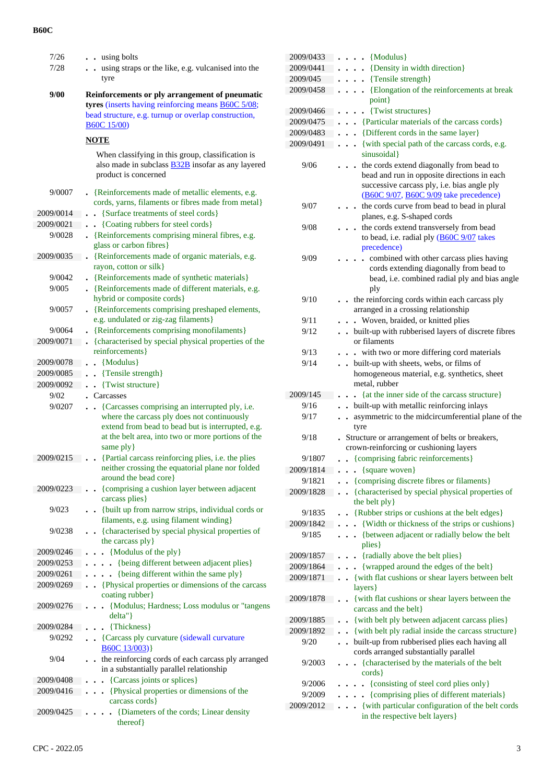| 7/26              | $\cdot$ using bolts                                                                                                                                                  |
|-------------------|----------------------------------------------------------------------------------------------------------------------------------------------------------------------|
| 7/28              | using straps or the like, e.g. vulcanised into the<br>tyre                                                                                                           |
| 9/00              | Reinforcements or ply arrangement of pneumatic<br>tyres (inserts having reinforcing means <b>B60C</b> 5/08;                                                          |
|                   | bead structure, e.g. turnup or overlap construction,<br><b>B60C</b> 15/00)                                                                                           |
|                   | NOTE                                                                                                                                                                 |
|                   | When classifying in this group, classification is<br>also made in subclass <b>B32B</b> insofar as any layered<br>product is concerned                                |
| 9/0007            | • {Reinforcements made of metallic elements, e.g.<br>cords, yarns, filaments or fibres made from metal}                                                              |
| 2009/0014         | {Surface treatments of steel cords}                                                                                                                                  |
| 2009/0021         | {Coating rubbers for steel cords}                                                                                                                                    |
| 9/0028            | • {Reinforcements comprising mineral fibres, e.g.<br>glass or carbon fibres}                                                                                         |
| 2009/0035         | {Reinforcements made of organic materials, e.g.<br>rayon, cotton or silk}                                                                                            |
| 9/0042            | • {Reinforcements made of synthetic materials}                                                                                                                       |
| 9/005             | . {Reinforcements made of different materials, e.g.<br>hybrid or composite cords}                                                                                    |
| 9/0057            | {Reinforcements comprising preshaped elements,<br>e.g. undulated or zig-zag filaments}                                                                               |
| 9/0064            | {Reinforcements comprising monofilaments}                                                                                                                            |
| 2009/0071         | {characterised by special physical properties of the<br>reinforcements}                                                                                              |
| 2009/0078         | {Modulus}<br>$\ddot{\phantom{a}}$                                                                                                                                    |
| 2009/0085         | {Tensile strength}<br>$\ddot{\phantom{0}}$                                                                                                                           |
| 2009/0092<br>9/02 | {Twist structure}<br>Carcasses                                                                                                                                       |
| 9/0207            | {Carcasses comprising an interrupted ply, i.e.                                                                                                                       |
|                   | where the carcass ply does not continuously<br>extend from bead to bead but is interrupted, e.g.<br>at the belt area, into two or more portions of the<br>same ply } |
| 2009/0215         | • {Partial carcass reinforcing plies, i.e. the plies<br>neither crossing the equatorial plane nor folded                                                             |
|                   | around the bead core }                                                                                                                                               |
| 2009/0223         | {comprising a cushion layer between adjacent<br>carcass plies }                                                                                                      |
| 9/023             | {built up from narrow strips, individual cords or<br>$\bullet$<br>filaments, e.g. using filament winding}                                                            |
| 9/0238            | {characterised by special physical properties of<br>$\bullet$<br>the carcass ply }                                                                                   |
| 2009/0246         | {Modulus of the ply}                                                                                                                                                 |
| 2009/0253         | {being different between adjacent plies}                                                                                                                             |
| 2009/0261         | {being different within the same ply}                                                                                                                                |
| 2009/0269         | • {Physical properties or dimensions of the carcass<br>coating rubber}                                                                                               |
| 2009/0276         | {Modulus; Hardness; Loss modulus or "tangens<br>delta"}                                                                                                              |
| 2009/0284         | {Thickness}                                                                                                                                                          |
| 9/0292            | {Carcass ply curvature (sidewall curvature)<br>$\ddot{\phantom{0}}$<br>B60C13/003)                                                                                   |
| 9/04              | the reinforcing cords of each carcass ply arranged<br>in a substantially parallel relationship                                                                       |
| 2009/0408         | {Carcass joints or splices}                                                                                                                                          |
| 2009/0416         | {Physical properties or dimensions of the<br>carcass cords }                                                                                                         |
| 2009/0425         | {Diameters of the cords; Linear density<br>thereof}                                                                                                                  |

| 2009/0433           | {Modulus}                                                                                                                                                                        |
|---------------------|----------------------------------------------------------------------------------------------------------------------------------------------------------------------------------|
| 2009/0441           | {Density in width direction}                                                                                                                                                     |
| 2009/045            | {Tensile strength}                                                                                                                                                               |
| 2009/0458           | {Elongation of the reinforcements at break<br>point}                                                                                                                             |
| 2009/0466           | • {Twist structures}                                                                                                                                                             |
| 2009/0475           | {Particular materials of the carcass cords}<br>$\ddot{\phantom{a}}$                                                                                                              |
| 2009/0483           | {Different cords in the same layer}<br>$\ddot{\phantom{0}}$                                                                                                                      |
| 2009/0491           | {with special path of the carcass cords, e.g.<br>$\ddot{\phantom{a}}$<br>sinusoidal}                                                                                             |
| 9/06                | the cords extend diagonally from bead to<br>bead and run in opposite directions in each<br>successive carcass ply, i.e. bias angle ply<br>(B60C 9/07, B60C 9/09 take precedence) |
| 9/07                | the cords curve from bead to bead in plural<br>planes, e.g. S-shaped cords                                                                                                       |
| 9/08                | the cords extend transversely from bead<br>to bead, i.e. radial ply (B60C 9/07 takes<br>precedence)                                                                              |
| 9/09                | combined with other carcass plies having<br>cords extending diagonally from bead to<br>bead, i.e. combined radial ply and bias angle<br>ply                                      |
| 9/10                | the reinforcing cords within each carcass ply<br>arranged in a crossing relationship                                                                                             |
| 9/11                | . Woven, braided, or knitted plies                                                                                                                                               |
| 9/12                | built-up with rubberised layers of discrete fibres<br>$\ddot{\phantom{0}}$<br>or filaments                                                                                       |
| 9/13                | - with two or more differing cord materials                                                                                                                                      |
| 9/14                | built-up with sheets, webs, or films of<br>$\ddot{\phantom{a}}$<br>homogeneous material, e.g. synthetics, sheet<br>metal, rubber                                                 |
| 2009/145            | {at the inner side of the carcass structure}                                                                                                                                     |
| 9/16                | built-up with metallic reinforcing inlays<br>$\ddot{\phantom{0}}$                                                                                                                |
| 9/17                | asymmetric to the midcircumferential plane of the<br>$\bullet$<br>tyre                                                                                                           |
| 9/18                | Structure or arrangement of belts or breakers,<br>crown-reinforcing or cushioning layers                                                                                         |
| 9/1807              | • {comprising fabric reinforcements}                                                                                                                                             |
| 2009/1814           | $\bullet$ {square woven}                                                                                                                                                         |
| 9/1821              | • {comprising discrete fibres or filaments}                                                                                                                                      |
| 2009/1828           | {characterised by special physical properties of                                                                                                                                 |
|                     | the belt ply }                                                                                                                                                                   |
| 9/1835<br>2009/1842 | {Rubber strips or cushions at the belt edges}                                                                                                                                    |
|                     | {Width or thickness of the strips or cushions}                                                                                                                                   |
| 9/185               | {between adjacent or radially below the belt<br>plies }                                                                                                                          |
| 2009/1857           | {radially above the belt plies}                                                                                                                                                  |
| 2009/1864           | {wrapped around the edges of the belt}                                                                                                                                           |
| 2009/1871           | {with flat cushions or shear layers between belt<br>layers }                                                                                                                     |
| 2009/1878           | {with flat cushions or shear layers between the<br>carcass and the belt}                                                                                                         |
| 2009/1885           | {with belt ply between adjacent carcass plies}                                                                                                                                   |
| 2009/1892           | {with belt ply radial inside the carcass structure}                                                                                                                              |
| 9/20                | built-up from rubberised plies each having all<br>cords arranged substantially parallel                                                                                          |
| 9/2003              | {characterised by the materials of the belt<br>$\ddot{\phantom{0}}$<br>$\text{cords}$                                                                                            |
| 9/2006              | {consisting of steel cord plies only}                                                                                                                                            |
| 9/2009              | {comprising plies of different materials}                                                                                                                                        |
| 2009/2012           | {with particular configuration of the belt cords<br>$\ddot{\phantom{0}}$                                                                                                         |
|                     | in the respective belt layers }                                                                                                                                                  |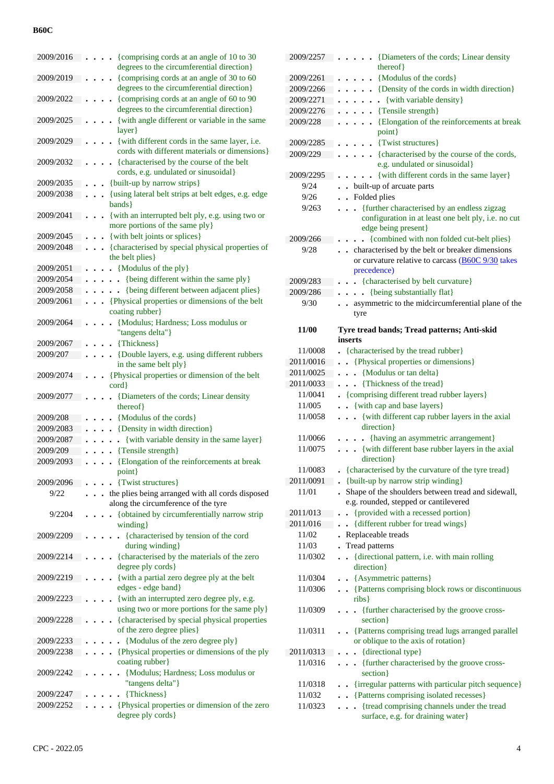| 2009/2016 | {comprising cords at an angle of 10 to 30                          |
|-----------|--------------------------------------------------------------------|
|           | degrees to the circumferential direction}                          |
| 2009/2019 | {comprising cords at an angle of 30 to 60                          |
|           | degrees to the circumferential direction}                          |
| 2009/2022 | {comprising cords at an angle of 60 to 90                          |
|           | degrees to the circumferential direction}                          |
| 2009/2025 | {with angle different or variable in the same                      |
| 2009/2029 | layer}<br>{with different cords in the same layer, i.e.            |
|           | cords with different materials or dimensions }                     |
| 2009/2032 | {characterised by the course of the belt                           |
|           | cords, e.g. undulated or sinusoidal}                               |
| 2009/2035 | {built-up by narrow strips}                                        |
| 2009/2038 | {using lateral belt strips at belt edges, e.g. edge                |
|           | bands }                                                            |
| 2009/2041 | {with an interrupted belt ply, e.g. using two or                   |
|           | more portions of the same ply }                                    |
| 2009/2045 | {with belt joints or splices}                                      |
| 2009/2048 | {characterised by special physical properties of                   |
|           | the belt plies}                                                    |
| 2009/2051 | $\bullet$ {Modulus of the ply}                                     |
| 2009/2054 | {being different within the same ply}<br>$\ddot{\phantom{0}}$      |
| 2009/2058 | {being different between adjacent plies}                           |
| 2009/2061 | . Physical properties or dimensions of the belt                    |
|           | coating rubber}                                                    |
| 2009/2064 | {Modulus; Hardness; Loss modulus or                                |
|           | "tangens delta"}                                                   |
| 2009/2067 | {Thickness}                                                        |
| 2009/207  | {Double layers, e.g. using different rubbers                       |
|           | in the same belt ply}                                              |
| 2009/2074 | {Physical properties or dimension of the belt                      |
|           | cord}                                                              |
|           |                                                                    |
| 2009/2077 | {Diameters of the cords; Linear density                            |
|           | thereof}                                                           |
| 2009/208  | {Modulus of the cords}                                             |
| 2009/2083 | {Density in width direction}                                       |
| 2009/2087 | {with variable density in the same layer}<br>$\ddot{\phantom{0}}$  |
| 2009/209  | {Tensile strength}                                                 |
| 2009/2093 | {Elongation of the reinforcements at break                         |
|           | point}                                                             |
| 2009/2096 | {Twist structures}                                                 |
| 9/22      | the plies being arranged with all cords disposed                   |
| 9/2204    | along the circumference of the tyre                                |
|           | {obtained by circumferentially narrow strip<br>winding }           |
| 2009/2209 | {characterised by tension of the cord                              |
|           | during winding}                                                    |
| 2009/2214 | {characterised by the materials of the zero                        |
|           | degree ply cords}                                                  |
| 2009/2219 | {with a partial zero degree ply at the belt                        |
|           | edges - edge band}                                                 |
| 2009/2223 | {with an interrupted zero degree ply, e.g.                         |
|           | using two or more portions for the same ply}                       |
| 2009/2228 | {characterised by special physical properties                      |
|           | of the zero degree plies}                                          |
| 2009/2233 | {Modulus of the zero degree ply}                                   |
| 2009/2238 | {Physical properties or dimensions of the ply                      |
|           | coating rubber}                                                    |
| 2009/2242 | {Modulus; Hardness; Loss modulus or                                |
| 2009/2247 | "tangens delta"}<br>{Thickness}                                    |
| 2009/2252 |                                                                    |
|           | {Physical properties or dimension of the zero<br>degree ply cords} |

| 2009/2257    | {Diameters of the cords; Linear density                                                                                   |
|--------------|---------------------------------------------------------------------------------------------------------------------------|
|              | thereof}                                                                                                                  |
| 2009/2261    | {Modulus of the cords}<br>$\ddot{\phantom{0}}$                                                                            |
| 2009/2266    | {Density of the cords in width direction}                                                                                 |
| 2009/2271    | {with variable density}<br>$\mathbf{r}$                                                                                   |
| 2009/2276    | {Tensile strength}<br>$\ddot{\phantom{0}}$                                                                                |
| 2009/228     | {Elongation of the reinforcements at break<br>point}                                                                      |
| 2009/2285    | {Twist structures}<br>$\ddot{\phantom{0}}$                                                                                |
| 2009/229     | {characterised by the course of the cords,<br>$\ddot{\phantom{0}}$<br>e.g. undulated or sinusoidal}                       |
| 2009/2295    | {with different cords in the same layer}                                                                                  |
| 9/24         | built-up of arcuate parts<br>$\ddot{\phantom{0}}$                                                                         |
| 9/26         | Folded plies<br>$\ddot{\phantom{a}}$                                                                                      |
| 9/263        | {further characterised by an endless zigzag<br>configuration in at least one belt ply, i.e. no cut<br>edge being present} |
| 2009/266     | {combined with non folded cut-belt plies}                                                                                 |
| 9/28         | . characterised by the belt or breaker dimensions                                                                         |
|              | or curvature relative to carcass (B60C 9/30 takes<br>precedence)                                                          |
| 2009/283     | • {characterised by belt curvature}                                                                                       |
| 2009/286     | • {being substantially flat}<br>$\bullet$                                                                                 |
| 9/30         | asymmetric to the midcircumferential plane of the                                                                         |
|              | tyre                                                                                                                      |
| <b>11/00</b> | Tyre tread bands; Tread patterns; Anti-skid                                                                               |
|              | inserts                                                                                                                   |
| 11/0008      | • {characterised by the tread rubber}                                                                                     |
| 2011/0016    | . Physical properties or dimensions }                                                                                     |
| 2011/0025    | . . {Modulus or tan delta}                                                                                                |
| 2011/0033    | . Thickness of the tread}                                                                                                 |
| 11/0041      | • {comprising different tread rubber layers}                                                                              |
| 11/005       | • {with cap and base layers}<br>$\ddot{\phantom{0}}$                                                                      |
| 11/0058      | {with different cap rubber layers in the axial<br>$\ddot{\phantom{a}}$<br>direction }                                     |
| 11/0066      | {having an asymmetric arrangement}                                                                                        |
| 11/0075      | {with different base rubber layers in the axial<br>direction }                                                            |
| 11/0083      | {characterised by the curvature of the tyre tread}                                                                        |
| 2011/0091    | {built-up by narrow strip winding}                                                                                        |
| 11/01        | Shape of the shoulders between tread and sidewall,<br>e.g. rounded, stepped or cantilevered                               |
| 2011/013     | {provided with a recessed portion}                                                                                        |
| 2011/016     | {different rubber for tread wings}                                                                                        |
| 11/02        | Replaceable treads                                                                                                        |
| 11/03        | Tread patterns                                                                                                            |
| 11/0302      | {directional pattern, i.e. with main rolling<br>$\ddot{\phantom{a}}$<br>direction}                                        |
| 11/0304      | • {Asymmetric patterns}                                                                                                   |
| 11/0306      | . Patterns comprising block rows or discontinuous<br>ribs                                                                 |
| 11/0309      | {further characterised by the groove cross-<br>$\ddot{\phantom{0}}$<br>section }                                          |
| 11/0311      | • {Patterns comprising tread lugs arranged parallel<br>or oblique to the axis of rotation}                                |
| 2011/0313    | . {directional type}                                                                                                      |
| 11/0316      | {further characterised by the groove cross-<br>$\ddot{\phantom{0}}$<br>section }                                          |
| 11/0318      | {irregular patterns with particular pitch sequence}<br>$\ddot{\phantom{a}}$                                               |
| 11/032       | • {Patterns comprising isolated recesses}                                                                                 |
| 11/0323      | {tread comprising channels under the tread<br>$\ddot{\phantom{0}}$<br>surface, e.g. for draining water}                   |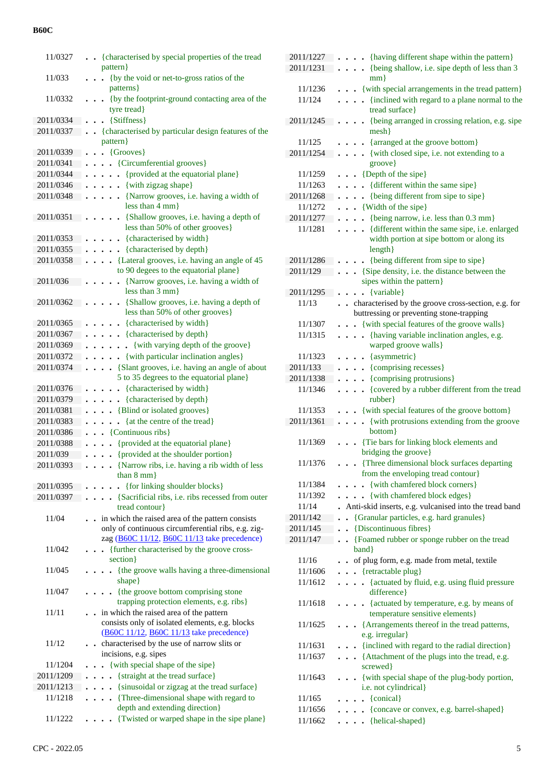| 11/0327   | {characterised by special properties of the tread<br>pattern }                                           |
|-----------|----------------------------------------------------------------------------------------------------------|
| 11/033    | (by the void or net-to-gross ratios of the                                                               |
| 11/0332   | patterns }<br>• {by the footprint-ground contacting area of the                                          |
|           | tyre tread}                                                                                              |
| 2011/0334 | $\bullet$ {Stiffness}                                                                                    |
| 2011/0337 | {characterised by particular design features of the<br>pattern}                                          |
| 2011/0339 | {Grooves}<br>$\bullet$                                                                                   |
| 2011/0341 | {Circumferential grooves}                                                                                |
| 2011/0344 | {provided at the equatorial plane}                                                                       |
| 2011/0346 | • {with zigzag shape}                                                                                    |
|           |                                                                                                          |
| 2011/0348 | • {Narrow grooves, i.e. having a width of<br>less than $4 \text{ mm}$                                    |
| 2011/0351 | {Shallow grooves, i.e. having a depth of<br>less than 50% of other grooves}                              |
| 2011/0353 | {characterised by width}                                                                                 |
| 2011/0355 | {characterised by depth}<br>$\ddot{\phantom{a}}$                                                         |
| 2011/0358 | {Lateral grooves, i.e. having an angle of 45                                                             |
|           | $\ddot{\phantom{0}}$<br>to 90 degees to the equatorial plane}                                            |
| 2011/036  | {Narrow grooves, i.e. having a width of<br>less than $3 \text{ mm}$ }                                    |
| 2011/0362 | {Shallow grooves, i.e. having a depth of                                                                 |
|           | less than 50% of other grooves}                                                                          |
| 2011/0365 | • {characterised by width}                                                                               |
| 2011/0367 | • {characterised by depth}                                                                               |
| 2011/0369 | • {with varying depth of the groove}                                                                     |
| 2011/0372 | {with particular inclination angles}                                                                     |
| 2011/0374 | {Slant grooves, i.e. having an angle of about                                                            |
|           | 5 to 35 degrees to the equatorial plane}                                                                 |
| 2011/0376 | {characterised by width}<br>$\ddot{\phantom{a}}$                                                         |
| 2011/0379 | {characterised by depth}                                                                                 |
| 2011/0381 | {Blind or isolated grooves}                                                                              |
| 2011/0383 | {at the centre of the tread}                                                                             |
| 2011/0386 | • {Continuous ribs}                                                                                      |
| 2011/0388 | {provided at the equatorial plane}<br>$\ddot{\phantom{0}}$                                               |
| 2011/039  | {provided at the shoulder portion}<br>$\ddot{\phantom{0}}$                                               |
| 2011/0393 | . {Narrow ribs, i.e. having a rib width of less                                                          |
|           | than $8 \text{ mm}$ }                                                                                    |
| 2011/0395 | • {for linking shoulder blocks}                                                                          |
| 2011/0397 | {Sacrificial ribs, i.e. ribs recessed from outer                                                         |
|           | tread contour}                                                                                           |
| 11/04     | . in which the raised area of the pattern consists<br>only of continuous circumferential ribs, e.g. zig- |
|           | zag (B60C 11/12, B60C 11/13 take precedence)                                                             |
| 11/042    | {further characterised by the groove cross-<br>$\ddot{\phantom{a}}$                                      |
|           | section }                                                                                                |
| 11/045    | . {the groove walls having a three-dimensional<br>shape}                                                 |
| 11/047    | {the groove bottom comprising stone                                                                      |
|           | trapping protection elements, e.g. ribs}                                                                 |
| 11/11     | . . in which the raised area of the pattern                                                              |
|           | consists only of isolated elements, e.g. blocks                                                          |
|           | (B60C 11/12, B60C 11/13 take precedence)                                                                 |
| 11/12     | characterised by the use of narrow slits or<br>$\bullet$                                                 |
|           | incisions, e.g. sipes                                                                                    |
| 11/1204   | {with special shape of the sipe}                                                                         |
| 2011/1209 | {straight at the tread surface}                                                                          |
| 2011/1213 | {sinusoidal or zigzag at the tread surface}                                                              |
| 11/1218   | {Three-dimensional shape with regard to                                                                  |
|           | depth and extending direction}                                                                           |
| 11/1222   | {Twisted or warped shape in the sipe plane}                                                              |
|           |                                                                                                          |

| 2011/1227 | . {having different shape within the pattern}                               |
|-----------|-----------------------------------------------------------------------------|
| 2011/1231 | {being shallow, i.e. sipe depth of less than 3                              |
|           |                                                                             |
|           | $mm$ }                                                                      |
| 11/1236   | . . {with special arrangements in the tread pattern}                        |
| 11/124    | {inclined with regard to a plane normal to the<br>$\sim$                    |
|           | tread surface}                                                              |
| 2011/1245 |                                                                             |
|           | {being arranged in crossing relation, e.g. sipe                             |
|           | mesh                                                                        |
| 11/125    | • {arranged at the groove bottom}                                           |
| 2011/1254 | · {with closed sipe, i.e. not extending to a                                |
|           | groove}                                                                     |
|           |                                                                             |
| 11/1259   | $\bullet$ (Depth of the sipe)                                               |
| 11/1263   | {different within the same sipe}                                            |
| 2011/1268 | {being different from sipe to sipe}<br>$\cdots$                             |
| 11/1272   | $\bullet$ $\bullet$ {Width of the sipe}                                     |
| 2011/1277 | {being narrow, i.e. less than 0.3 mm}<br>$\cdot$                            |
|           |                                                                             |
| 11/1281   | {different within the same sipe, i.e. enlarged<br>$\ddots$                  |
|           | width portion at sipe bottom or along its                                   |
|           | $length$ }                                                                  |
| 2011/1286 | {being different from sipe to sipe}<br>$\sim$                               |
| 2011/129  | {Sipe density, i.e. the distance between the                                |
|           |                                                                             |
|           | sipes within the pattern}                                                   |
| 2011/1295 | $\bullet$ {variable}                                                        |
| 11/13     | characterised by the groove cross-section, e.g. for<br>$\ddot{\phantom{a}}$ |
|           | buttressing or preventing stone-trapping                                    |
| 11/1307   | {with special features of the groove walls}                                 |
|           |                                                                             |
| 11/1315   | {having variable inclination angles, e.g.<br>$\ddots$                       |
|           | warped groove walls}                                                        |
| 11/1323   | $\bullet$ {asymmetric}                                                      |
| 2011/133  | $\cdots$ {comprising recesses}                                              |
|           |                                                                             |
| 2011/1338 | {comprising protrusions}<br>$\sim$                                          |
| 11/1346   | {covered by a rubber different from the tread<br>$\bullet$                  |
|           | rubber}                                                                     |
| 11/1353   | {with special features of the groove bottom}                                |
| 2011/1361 | {with protrusions extending from the groove                                 |
|           |                                                                             |
|           | bottom}                                                                     |
| 11/1369   | {Tie bars for linking block elements and                                    |
|           | bridging the groove}                                                        |
| 11/1376   | {Three dimensional block surfaces departing                                 |
|           | from the enveloping tread contour}                                          |
|           |                                                                             |
| 11/1384   | {with chamfered block corners}<br>$\ddot{\phantom{1}}$                      |
| 11/1392   | {with chamfered block edges}<br>.                                           |
| 11/14     | Anti-skid inserts, e.g. vulcanised into the tread band                      |
| 2011/142  | {Granular particles, e.g. hard granules}<br>$\ddot{\phantom{0}}$            |
|           |                                                                             |
| 2011/145  | {Discontinuous fibres}<br>$\bullet$                                         |
| 2011/147  | {Foamed rubber or sponge rubber on the tread<br>$\ddot{\phantom{0}}$        |
|           | band}                                                                       |
| 11/16     | of plug form, e.g. made from metal, textile                                 |
| 11/1606   | $\bullet$ $\bullet$ {retractable plug}                                      |
|           |                                                                             |
| 11/1612   | • {actuated by fluid, e.g. using fluid pressure                             |
|           | difference}                                                                 |
| 11/1618   | • {actuated by temperature, e.g. by means of                                |
|           | temperature sensitive elements}                                             |
| 11/1625   | • {Arrangements thereof in the tread patterns,                              |
|           |                                                                             |
|           | e.g. irregular}                                                             |
| 11/1631   | {inclined with regard to the radial direction}<br>$\bullet$                 |
| 11/1637   | {Attachment of the plugs into the tread, e.g.                               |
|           | screwed }                                                                   |
| 11/1643   |                                                                             |
|           | • {with special shape of the plug-body portion,                             |
|           | i.e. not cylindrical}                                                       |
| 11/165    | $\bullet \bullet$ {conical}                                                 |
| 11/1656   | . {concave or convex, e.g. barrel-shaped}                                   |
| 11/1662   | $\ldots$ {helical-shaped}                                                   |
|           |                                                                             |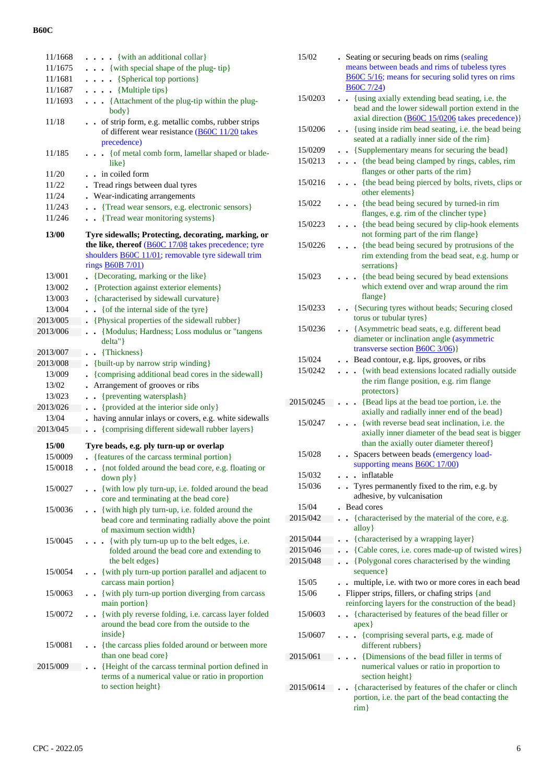| 11/1668      | . {with an additional collar}                                                                                                       |
|--------------|-------------------------------------------------------------------------------------------------------------------------------------|
| 11/1675      | $\ldots$ {with special shape of the plug-tip}                                                                                       |
| 11/1681      | $\ldots$ (Spherical top portions)                                                                                                   |
| 11/1687      | $\ldots$ {Multiple tips}                                                                                                            |
| 11/1693      | . {Attachment of the plug-tip within the plug-<br>body }                                                                            |
| 11/18        | of strip form, e.g. metallic combs, rubber strips<br>$\ddot{\phantom{0}}$                                                           |
|              | of different wear resistance (B60C 11/20 takes                                                                                      |
|              | precedence)                                                                                                                         |
| 11/185       | • { of metal comb form, lamellar shaped or blade-<br>$like\}$                                                                       |
| 11/20        | in coiled form                                                                                                                      |
| 11/22        | Tread rings between dual tyres                                                                                                      |
| 11/24        | Wear-indicating arrangements                                                                                                        |
| 11/243       | • {Tread wear sensors, e.g. electronic sensors}                                                                                     |
| 11/246       | . Tread wear monitoring systems }                                                                                                   |
| 13/00        |                                                                                                                                     |
|              | Tyre sidewalls; Protecting, decorating, marking, or<br>the like, thereof (B60C 17/08 takes precedence; tyre                         |
|              |                                                                                                                                     |
|              | shoulders <b>B60C</b> 11/01; removable tyre sidewall trim                                                                           |
|              | rings <b>B60B</b> 7/01)                                                                                                             |
| 13/001       | {Decorating, marking or the like}                                                                                                   |
| 13/002       | {Protection against exterior elements}                                                                                              |
| 13/003       | {characterised by sidewall curvature}                                                                                               |
| 13/004       | $\bullet$ { of the internal side of the tyre}                                                                                       |
| 2013/005     | {Physical properties of the sidewall rubber}                                                                                        |
| 2013/006     | {Modulus; Hardness; Loss modulus or "tangens<br>delta"}                                                                             |
| 2013/007     | . {Thickness}                                                                                                                       |
| 2013/008     | {built-up by narrow strip winding}                                                                                                  |
| 13/009       | • {comprising additional bead cores in the sidewall}                                                                                |
| 13/02        | Arrangement of grooves or ribs                                                                                                      |
| 13/023       | {preventing watersplash}<br>$\ddot{\phantom{a}}$                                                                                    |
| 2013/026     | {provided at the interior side only}<br>$\ddot{\phantom{0}}$                                                                        |
| 13/04        | . having annular inlays or covers, e.g. white sidewalls                                                                             |
| 2013/045     | . {comprising different sidewall rubber layers}                                                                                     |
| <b>15/00</b> | Tyre beads, e.g. ply turn-up or overlap                                                                                             |
| 15/0009      | - {features of the carcass terminal portion}                                                                                        |
| 15/0018      | . {not folded around the bead core, e.g. floating or<br>down ply }                                                                  |
| 15/0027      | - {with low ply turn-up, i.e. folded around the bead<br>core and terminating at the bead core}                                      |
| 15/0036      | . {with high ply turn-up, i.e. folded around the<br>bead core and terminating radially above the point<br>of maximum section width} |
| 15/0045      | {with ply turn-up up to the belt edges, i.e.<br>folded around the bead core and extending to<br>the belt edges}                     |
| 15/0054      | {with ply turn-up portion parallel and adjacent to<br>carcass main portion}                                                         |
| 15/0063      | - {with ply turn-up portion diverging from carcass<br>main portion}                                                                 |
| 15/0072      | {with ply reverse folding, i.e. carcass layer folded<br>around the bead core from the outside to the<br>inside }                    |
| 15/0081      | - {the carcass plies folded around or between more<br>than one bead core}                                                           |
| 2015/009     | {Height of the carcass terminal portion defined in<br>terms of a numerical value or ratio in proportion<br>to section height}       |

| 15/02     | . Seating or securing beads on rims (sealing<br>means between beads and rims of tubeless tyres<br>B60C 5/16; means for securing solid tyres on rims                              |
|-----------|----------------------------------------------------------------------------------------------------------------------------------------------------------------------------------|
|           | <b>B60C</b> 7/24)                                                                                                                                                                |
| 15/0203   | {using axially extending bead seating, i.e. the<br>$\ddot{\phantom{a}}$<br>bead and the lower sidewall portion extend in the<br>axial direction (B60C 15/0206 takes precedence)} |
| 15/0206   | . {using inside rim bead seating, i.e. the bead being<br>seated at a radially inner side of the rim}                                                                             |
| 15/0209   | . {Supplementary means for securing the bead}                                                                                                                                    |
| 15/0213   | {the bead being clamped by rings, cables, rim<br>flanges or other parts of the rim}                                                                                              |
| 15/0216   | {the bead being pierced by bolts, rivets, clips or<br>other elements }                                                                                                           |
| 15/022    | {the bead being secured by turned-in rim<br>$\bullet$<br>flanges, e.g. rim of the clincher type}                                                                                 |
| 15/0223   | {the bead being secured by clip-hook elements<br>$\bullet$<br>not forming part of the rim flange}                                                                                |
| 15/0226   | • {the bead being secured by protrusions of the<br>rim extending from the bead seat, e.g. hump or<br>serrations }                                                                |
| 15/023    | {the bead being secured by bead extensions<br>which extend over and wrap around the rim<br>flange}                                                                               |
| 15/0233   | {Securing tyres without beads; Securing closed<br>torus or tubular tyres}                                                                                                        |
| 15/0236   | • {Asymmetric bead seats, e.g. different bead<br>diameter or inclination angle (asymmetric<br>transverse section $\angle B60C$ 3/06)                                             |
| 15/024    | Bead contour, e.g. lips, grooves, or ribs                                                                                                                                        |
| 15/0242   | {with bead extensions located radially outside<br>$\ddot{\phantom{0}}$<br>the rim flange position, e.g. rim flange<br>protectors }                                               |
| 2015/0245 | {Bead lips at the bead toe portion, i.e. the                                                                                                                                     |
|           | axially and radially inner end of the bead}                                                                                                                                      |
| 15/0247   | {with reverse bead seat inclination, i.e. the<br>axially inner diameter of the bead seat is bigger<br>than the axially outer diameter thereof}                                   |
| 15/028    | Spacers between beads (emergency load-<br>supporting means <b>B60C</b> 17/00)                                                                                                    |
| 15/032    | . . inflatable                                                                                                                                                                   |
| 15/036    | . Tyres permanently fixed to the rim, e.g. by<br>adhesive, by vulcanisation                                                                                                      |
| 15/04     | Bead cores                                                                                                                                                                       |
| 2015/042  | {characterised by the material of the core, e.g.<br>alloy }                                                                                                                      |
| 2015/044  | {characterised by a wrapping layer}                                                                                                                                              |
| 2015/046  | {Cable cores, i.e. cores made-up of twisted wires}                                                                                                                               |
| 2015/048  | {Polygonal cores characterised by the winding<br>$\ddot{\phantom{a}}$<br>sequence}                                                                                               |
| 15/05     | multiple, i.e. with two or more cores in each bead                                                                                                                               |
| 15/06     | . Flipper strips, fillers, or chafing strips {and<br>reinforcing layers for the construction of the bead}                                                                        |
| 15/0603   | {characterised by features of the bead filler or<br>apex}                                                                                                                        |
| 15/0607   | • {comprising several parts, e.g. made of<br>different rubbers}                                                                                                                  |
| 2015/061  | {Dimensions of the bead filler in terms of<br>numerical values or ratio in proportion to<br>section height}                                                                      |
| 2015/0614 | {characterised by features of the chafer or clinch<br>portion, i.e. the part of the bead contacting the<br>$\dim$                                                                |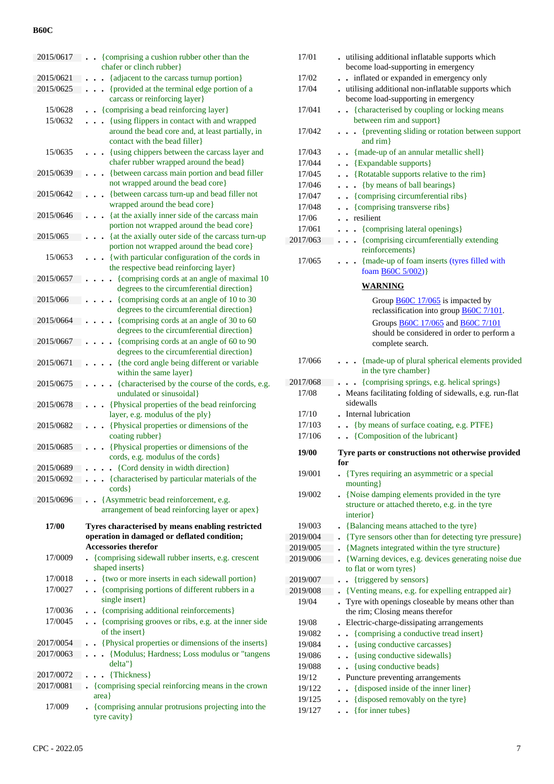| 2015/0617          | {comprising a cushion rubber other than the<br>$\ddot{\phantom{a}}$<br>chafer or clinch rubber}                                               |
|--------------------|-----------------------------------------------------------------------------------------------------------------------------------------------|
| 2015/0621          | {adjacent to the carcass turnup portion}                                                                                                      |
| 2015/0625          | {provided at the terminal edge portion of a                                                                                                   |
|                    | carcass or reinforcing layer}                                                                                                                 |
| 15/0628            | {comprising a bead reinforcing layer}                                                                                                         |
| 15/0632            | {using flippers in contact with and wrapped                                                                                                   |
|                    | around the bead core and, at least partially, in<br>contact with the bead filler                                                              |
| 15/0635            | {using chippers between the carcass layer and                                                                                                 |
|                    | chafer rubber wrapped around the bead}                                                                                                        |
| 2015/0639          | {between carcass main portion and bead filler<br>not wrapped around the bead core}                                                            |
| 2015/0642          | {between carcass turn-up and bead filler not<br>wrapped around the bead core}                                                                 |
| 2015/0646          | {at the axially inner side of the carcass main                                                                                                |
|                    | portion not wrapped around the bead core}                                                                                                     |
| 2015/065           | {at the axially outer side of the carcass turn-up<br>portion not wrapped around the bead core}                                                |
| 15/0653            | {with particular configuration of the cords in<br>the respective bead reinforcing layer}                                                      |
| 2015/0657          | {comprising cords at an angle of maximal 10<br>degrees to the circumferential direction}                                                      |
| 2015/066           | {comprising cords at an angle of 10 to 30<br>degrees to the circumferential direction}                                                        |
| 2015/0664          | {comprising cords at an angle of 30 to 60                                                                                                     |
|                    | degrees to the circumferential direction}                                                                                                     |
| 2015/0667          | {comprising cords at an angle of 60 to 90<br>degrees to the circumferential direction}                                                        |
| 2015/0671          | {the cord angle being different or variable<br>within the same layer}                                                                         |
| 2015/0675          | {characterised by the course of the cords, e.g.<br>undulated or sinusoidal}                                                                   |
| 2015/0678          | {Physical properties of the bead reinforcing<br>layer, e.g. modulus of the ply}                                                               |
| 2015/0682          | {Physical properties or dimensions of the<br>coating rubber}                                                                                  |
| 2015/0685          | {Physical properties or dimensions of the                                                                                                     |
|                    | cords, e.g. modulus of the cords}                                                                                                             |
| 2015/0689          | • {Cord density in width direction}                                                                                                           |
| 2015/0692          | {characterised by particular materials of the<br>$\text{cords}$                                                                               |
| 2015/0696          | {Asymmetric bead reinforcement, e.g.<br>$\ddot{\phantom{a}}$                                                                                  |
|                    | arrangement of bead reinforcing layer or apex }                                                                                               |
| 17/00              | Tyres characterised by means enabling restricted                                                                                              |
|                    | operation in damaged or deflated condition;                                                                                                   |
|                    | <b>Accessories therefor</b>                                                                                                                   |
| 17/0009            | . {comprising sidewall rubber inserts, e.g. crescent                                                                                          |
| 17/0018            | shaped inserts }                                                                                                                              |
| 17/0027            | {two or more inserts in each sidewall portion}<br>{comprising portions of different rubbers in a                                              |
|                    | single insert}                                                                                                                                |
| 17/0036<br>17/0045 | {comprising additional reinforcements}<br>$\ddot{\phantom{0}}$<br>{comprising grooves or ribs, e.g. at the inner side<br>$\ddot{\phantom{0}}$ |
|                    | of the insert}                                                                                                                                |
| 2017/0054          | {Physical properties or dimensions of the inserts}                                                                                            |
| 2017/0063          | {Modulus; Hardness; Loss modulus or "tangens<br>$\ddot{\phantom{0}}$<br>delta"                                                                |
| 2017/0072          | • {Thickness}                                                                                                                                 |
| 2017/0081          | {comprising special reinforcing means in the crown                                                                                            |
| 17/009             | area                                                                                                                                          |
|                    | . {comprising annular protrusions projecting into the<br>tyre cavity }                                                                        |

| 17/01            | utilising additional inflatable supports which<br>become load-supporting in emergency       |
|------------------|---------------------------------------------------------------------------------------------|
| 17/02            | . . inflated or expanded in emergency only                                                  |
| 17/04            | utilising additional non-inflatable supports which                                          |
|                  | become load-supporting in emergency                                                         |
| 17/041           | • {characterised by coupling or locking means<br>between rim and support}                   |
| 17/042           | {preventing sliding or rotation between support<br>$\ddot{\phantom{0}}$<br>and rim}         |
| 17/043           | . {made-up of an annular metallic shell}                                                    |
| 17/044           | . . {Expandable supports}                                                                   |
| 17/045           | • {Rotatable supports relative to the rim}                                                  |
| 17/046           | {by means of ball bearings}<br>$\ddot{\phantom{0}}$<br>$\bullet$                            |
| 17/047           | • {comprising circumferential ribs}                                                         |
| 17/048           | • {comprising transverse ribs}                                                              |
| 17/06            | . resilient                                                                                 |
| 17/061           | {comprising lateral openings}                                                               |
| 2017/063         | {comprising circumferentially extending<br>$\ddot{\phantom{a}}$<br>reinforcements}          |
| 17/065           | {made-up of foam inserts (tyres filled with<br>foam <b>B60C</b> 5/002)}                     |
|                  | <b>WARNING</b>                                                                              |
|                  | Group <b>B60C</b> 17/065 is impacted by<br>reclassification into group <b>B60C</b> 7/101.   |
|                  | Groups <b>B60C</b> 17/065 and <b>B60C</b> 7/101                                             |
|                  | should be considered in order to perform a                                                  |
|                  | complete search.                                                                            |
| 17/066           | . {made-up of plural spherical elements provided<br>in the tyre chamber}                    |
| 2017/068         |                                                                                             |
|                  | {comprising springs, e.g. helical springs}<br>$\ddot{\phantom{0}}$                          |
| 17/08            | Means facilitating folding of sidewalls, e.g. run-flat<br>$\ddot{\phantom{0}}$<br>sidewalls |
| 17/10            | Internal lubrication                                                                        |
| 17/103           | {by means of surface coating, e.g. PTFE}                                                    |
| 17/106           | . {Composition of the lubricant}                                                            |
| 19/00            | Tyre parts or constructions not otherwise provided<br>for                                   |
| 19/001           | • {Tyres requiring an asymmetric or a special<br>mounting}                                  |
| 19/002           | • {Noise damping elements provided in the tyre                                              |
|                  | structure or attached thereto, e.g. in the tyre                                             |
|                  | interior}                                                                                   |
| 19/003           | {Balancing means attached to the tyre}                                                      |
| 2019/004         | {Tyre sensors other than for detecting tyre pressure}                                       |
| 2019/005         | {Magnets integrated within the tyre structure}                                              |
| 2019/006         | {Warning devices, e.g. devices generating noise due                                         |
|                  | to flat or worn tyres}                                                                      |
| 2019/007         | {triggered by sensors}                                                                      |
| 2019/008         | {Venting means, e.g. for expelling entrapped air}                                           |
| 19/04            | Tyre with openings closeable by means other than<br>the rim; Closing means therefor         |
| 19/08            | Electric-charge-dissipating arrangements                                                    |
| 19/082           | {comprising a conductive tread insert}<br>$\ddot{\phantom{0}}$                              |
| 19/084           | {using conductive carcasses}<br>$\ddot{\phantom{0}}$                                        |
| 19/086           | {using conductive sidewalls}<br>$\ddot{\phantom{0}}$                                        |
| 19/088           | {using conductive beads}<br>$\ddot{\phantom{0}}$                                            |
| 19/12            | Puncture preventing arrangements                                                            |
| 19/122           | {disposed inside of the inner liner}<br>$\ddot{\phantom{0}}$                                |
| 19/125<br>19/127 | {disposed removably on the tyre}<br>$\ddot{\phantom{0}}$<br>{for inner tubes}               |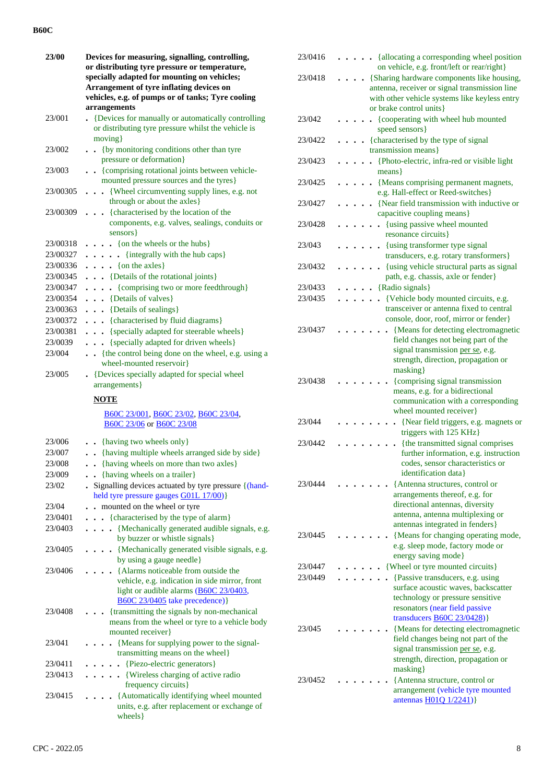| <b>23/00</b> | Devices for measuring, signalling, controlling,                                        |  |  |  |  |  |  |  |  |  |  |
|--------------|----------------------------------------------------------------------------------------|--|--|--|--|--|--|--|--|--|--|
|              | or distributing tyre pressure or temperature,                                          |  |  |  |  |  |  |  |  |  |  |
|              | specially adapted for mounting on vehicles;                                            |  |  |  |  |  |  |  |  |  |  |
|              | Arrangement of tyre inflating devices on                                               |  |  |  |  |  |  |  |  |  |  |
|              | vehicles, e.g. of pumps or of tanks; Tyre cooling                                      |  |  |  |  |  |  |  |  |  |  |
|              | arrangements                                                                           |  |  |  |  |  |  |  |  |  |  |
| 23/001       | • {Devices for manually or automatically controlling                                   |  |  |  |  |  |  |  |  |  |  |
|              | or distributing tyre pressure whilst the vehicle is                                    |  |  |  |  |  |  |  |  |  |  |
|              | moving }                                                                               |  |  |  |  |  |  |  |  |  |  |
| 23/002       | {by monitoring conditions other than tyre                                              |  |  |  |  |  |  |  |  |  |  |
|              | pressure or deformation}                                                               |  |  |  |  |  |  |  |  |  |  |
| 23/003       | . {comprising rotational joints between vehicle-                                       |  |  |  |  |  |  |  |  |  |  |
|              | mounted pressure sources and the tyres}                                                |  |  |  |  |  |  |  |  |  |  |
| 23/00305     | . {Wheel circumventing supply lines, e.g. not                                          |  |  |  |  |  |  |  |  |  |  |
|              | through or about the axles}                                                            |  |  |  |  |  |  |  |  |  |  |
|              |                                                                                        |  |  |  |  |  |  |  |  |  |  |
| 23/00309     | . {characterised by the location of the                                                |  |  |  |  |  |  |  |  |  |  |
|              | components, e.g. valves, sealings, conduits or                                         |  |  |  |  |  |  |  |  |  |  |
|              | sensors }                                                                              |  |  |  |  |  |  |  |  |  |  |
| 23/00318     | $\cdots$ (on the wheels or the hubs)                                                   |  |  |  |  |  |  |  |  |  |  |
| 23/00327     | {integrally with the hub caps}<br>.                                                    |  |  |  |  |  |  |  |  |  |  |
| 23/00336     | $\ldots$ (on the axles)                                                                |  |  |  |  |  |  |  |  |  |  |
| 23/00345     | . {Details of the rotational joints}                                                   |  |  |  |  |  |  |  |  |  |  |
| 23/00347     | {comprising two or more feedthrough}<br>$\cdots$                                       |  |  |  |  |  |  |  |  |  |  |
| 23/00354     | $\cdots$ {Details of valves}                                                           |  |  |  |  |  |  |  |  |  |  |
| 23/00363     | {Details of sealings}                                                                  |  |  |  |  |  |  |  |  |  |  |
| 23/00372     | . {characterised by fluid diagrams}                                                    |  |  |  |  |  |  |  |  |  |  |
| 23/00381     | . {specially adapted for steerable wheels}                                             |  |  |  |  |  |  |  |  |  |  |
| 23/0039      | {specially adapted for driven wheels}<br>$\sim$ $\sim$                                 |  |  |  |  |  |  |  |  |  |  |
| 23/004       | {the control being done on the wheel, e.g. using a                                     |  |  |  |  |  |  |  |  |  |  |
|              | wheel-mounted reservoir}                                                               |  |  |  |  |  |  |  |  |  |  |
| 23/005       | • {Devices specially adapted for special wheel                                         |  |  |  |  |  |  |  |  |  |  |
|              | arrangements }                                                                         |  |  |  |  |  |  |  |  |  |  |
|              |                                                                                        |  |  |  |  |  |  |  |  |  |  |
|              | <b>NOTE</b>                                                                            |  |  |  |  |  |  |  |  |  |  |
|              | B60C 23/001, B60C 23/02, B60C 23/04,                                                   |  |  |  |  |  |  |  |  |  |  |
|              | B60C 23/06 or B60C 23/08                                                               |  |  |  |  |  |  |  |  |  |  |
|              |                                                                                        |  |  |  |  |  |  |  |  |  |  |
| 23/006       | . {having two wheels only}                                                             |  |  |  |  |  |  |  |  |  |  |
| 23/007       | . . {having multiple wheels arranged side by side}                                     |  |  |  |  |  |  |  |  |  |  |
| 23/008       | . {having wheels on more than two axles}                                               |  |  |  |  |  |  |  |  |  |  |
| 23/009       | . {having wheels on a trailer}                                                         |  |  |  |  |  |  |  |  |  |  |
| 23/02        | . Signalling devices actuated by tyre pressure {(hand-                                 |  |  |  |  |  |  |  |  |  |  |
|              | held tyre pressure gauges G01L 17/00)}                                                 |  |  |  |  |  |  |  |  |  |  |
| 23/04        | mounted on the wheel or tyre<br>$\ddot{\phantom{a}}$                                   |  |  |  |  |  |  |  |  |  |  |
| 23/0401      | {characterised by the type of alarm}<br>$\ddot{\phantom{0}}$                           |  |  |  |  |  |  |  |  |  |  |
| 23/0403      | {Mechanically generated audible signals, e.g.<br>$\ddot{\phantom{a}}$                  |  |  |  |  |  |  |  |  |  |  |
|              | by buzzer or whistle signals}                                                          |  |  |  |  |  |  |  |  |  |  |
| 23/0405      |                                                                                        |  |  |  |  |  |  |  |  |  |  |
|              | {Mechanically generated visible signals, e.g.<br>$\bullet$<br>by using a gauge needle} |  |  |  |  |  |  |  |  |  |  |
|              |                                                                                        |  |  |  |  |  |  |  |  |  |  |
| 23/0406      | {Alarms noticeable from outside the                                                    |  |  |  |  |  |  |  |  |  |  |
|              | vehicle, e.g. indication in side mirror, front                                         |  |  |  |  |  |  |  |  |  |  |
|              | light or audible alarms (B60C 23/0403,                                                 |  |  |  |  |  |  |  |  |  |  |
|              | B60C 23/0405 take precedence) }                                                        |  |  |  |  |  |  |  |  |  |  |
| 23/0408      | {transmitting the signals by non-mechanical                                            |  |  |  |  |  |  |  |  |  |  |
|              | means from the wheel or tyre to a vehicle body                                         |  |  |  |  |  |  |  |  |  |  |
|              | mounted receiver}                                                                      |  |  |  |  |  |  |  |  |  |  |
| 23/041       | {Means for supplying power to the signal-                                              |  |  |  |  |  |  |  |  |  |  |
|              | transmitting means on the wheel}                                                       |  |  |  |  |  |  |  |  |  |  |
|              |                                                                                        |  |  |  |  |  |  |  |  |  |  |
| 23/0411      | {Piezo-electric generators}<br>$\ddot{\phantom{a}}$                                    |  |  |  |  |  |  |  |  |  |  |
| 23/0413      | {Wireless charging of active radio                                                     |  |  |  |  |  |  |  |  |  |  |
|              | frequency circuits}                                                                    |  |  |  |  |  |  |  |  |  |  |
| 23/0415      | {Automatically identifying wheel mounted                                               |  |  |  |  |  |  |  |  |  |  |
|              | units, e.g. after replacement or exchange of                                           |  |  |  |  |  |  |  |  |  |  |
|              | wheels }                                                                               |  |  |  |  |  |  |  |  |  |  |

| 23/0416 |  |  | {allocating a corresponding wheel position<br>on vehicle, e.g. front/left or rear/right}       |
|---------|--|--|------------------------------------------------------------------------------------------------|
| 23/0418 |  |  | {Sharing hardware components like housing,                                                     |
|         |  |  | antenna, receiver or signal transmission line<br>with other vehicle systems like keyless entry |
| 23/042  |  |  | or brake control units}<br>{cooperating with wheel hub mounted                                 |
|         |  |  | speed sensors }                                                                                |
| 23/0422 |  |  | {characterised by the type of signal<br>transmission means}                                    |
| 23/0423 |  |  | {Photo-electric, infra-red or visible light<br>$means\}$                                       |
| 23/0425 |  |  | {Means comprising permanent magnets,<br>e.g. Hall-effect or Reed-switches}                     |
| 23/0427 |  |  | {Near field transmission with inductive or<br>capacitive coupling means}                       |
| 23/0428 |  |  | {using passive wheel mounted<br>resonance circuits}                                            |
| 23/043  |  |  | {using transformer type signal<br>transducers, e.g. rotary transformers}                       |
| 23/0432 |  |  | {using vehicle structural parts as signal<br>path, e.g. chassis, axle or fender}               |
| 23/0433 |  |  | {Radio signals}                                                                                |
| 23/0435 |  |  | {Vehicle body mounted circuits, e.g.                                                           |
|         |  |  | transceiver or antenna fixed to central<br>console, door, roof, mirror or fender}              |
| 23/0437 |  |  | {Means for detecting electromagnetic                                                           |
|         |  |  | field changes not being part of the                                                            |
|         |  |  | signal transmission per se, e.g.                                                               |
|         |  |  | strength, direction, propagation or<br>masking                                                 |
| 23/0438 |  |  | {comprising signal transmission                                                                |
|         |  |  | means, e.g. for a bidirectional<br>communication with a corresponding                          |
|         |  |  | wheel mounted receiver}                                                                        |
| 23/044  |  |  | {Near field triggers, e.g. magnets or<br>triggers with 125 KHz}                                |
| 23/0442 |  |  | {the transmitted signal comprises                                                              |
|         |  |  | further information, e.g. instruction<br>codes, sensor characteristics or                      |
|         |  |  | identification data}                                                                           |
| 23/0444 |  |  | {Antenna structures, control or                                                                |
|         |  |  | arrangements thereof, e.g. for<br>directional antennas, diversity                              |
|         |  |  | antenna, antenna multiplexing or                                                               |
|         |  |  | antennas integrated in fenders}                                                                |
| 23/0445 |  |  | {Means for changing operating mode,                                                            |
|         |  |  | e.g. sleep mode, factory mode or<br>energy saving mode}                                        |
| 23/0447 |  |  | {Wheel or tyre mounted circuits}                                                               |
| 23/0449 |  |  | {Passive transducers, e.g. using                                                               |
|         |  |  | surface acoustic waves, backscatter                                                            |
|         |  |  | technology or pressure sensitive<br>resonators (near field passive                             |
|         |  |  | transducers <b>B60C 23/0428</b> )}                                                             |
| 23/045  |  |  | {Means for detecting electromagnetic                                                           |
|         |  |  | field changes being not part of the<br>signal transmission per se, e.g.                        |
|         |  |  | strength, direction, propagation or                                                            |
|         |  |  | masking}                                                                                       |
| 23/0452 |  |  | {Antenna structure, control or<br>arrangement (vehicle tyre mounted                            |
|         |  |  | antennas H01Q 1/2241)}                                                                         |
|         |  |  |                                                                                                |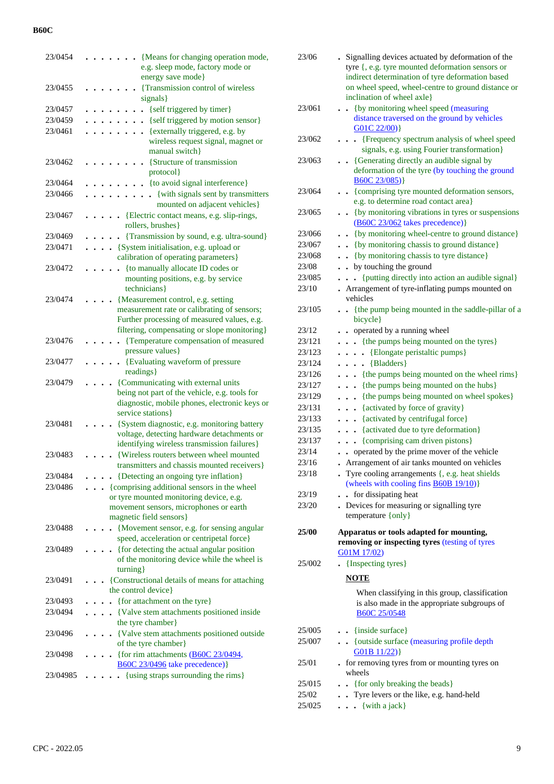| 23/0454  |  |  | {Means for changing operation mode,                         |  |
|----------|--|--|-------------------------------------------------------------|--|
|          |  |  | e.g. sleep mode, factory mode or                            |  |
|          |  |  | energy save mode}                                           |  |
| 23/0455  |  |  | {Transmission control of wireless                           |  |
|          |  |  | signals}                                                    |  |
| 23/0457  |  |  | {self triggered by timer}                                   |  |
| 23/0459  |  |  | {self triggered by motion sensor}                           |  |
| 23/0461  |  |  | {externally triggered, e.g. by                              |  |
|          |  |  | wireless request signal, magnet or                          |  |
|          |  |  | manual switch}                                              |  |
| 23/0462  |  |  | {Structure of transmission                                  |  |
|          |  |  | protocol}                                                   |  |
| 23/0464  |  |  | {to avoid signal interference}                              |  |
| 23/0466  |  |  | . {with signals sent by transmitters                        |  |
|          |  |  | mounted on adjacent vehicles}                               |  |
| 23/0467  |  |  | {Electric contact means, e.g. slip-rings,                   |  |
|          |  |  | rollers, brushes}                                           |  |
| 23/0469  |  |  | . {Transmission by sound, e.g. ultra-sound}                 |  |
| 23/0471  |  |  | . {System initialisation, e.g. upload or                    |  |
|          |  |  | calibration of operating parameters}                        |  |
| 23/0472  |  |  | {to manually allocate ID codes or                           |  |
|          |  |  | mounting positions, e.g. by service<br>technicians }        |  |
| 23/0474  |  |  | {Measurement control, e.g. setting                          |  |
|          |  |  | measurement rate or calibrating of sensors;                 |  |
|          |  |  | Further processing of measured values, e.g.                 |  |
|          |  |  | filtering, compensating or slope monitoring}                |  |
| 23/0476  |  |  | {Temperature compensation of measured                       |  |
|          |  |  | pressure values}                                            |  |
| 23/0477  |  |  | {Evaluating waveform of pressure<br>$\ddot{\phantom{0}}$    |  |
|          |  |  | readings }                                                  |  |
| 23/0479  |  |  | {Communicating with external units                          |  |
|          |  |  | being not part of the vehicle, e.g. tools for               |  |
|          |  |  | diagnostic, mobile phones, electronic keys or               |  |
|          |  |  | service stations }                                          |  |
| 23/0481  |  |  | {System diagnostic, e.g. monitoring battery                 |  |
|          |  |  | voltage, detecting hardware detachments or                  |  |
|          |  |  | identifying wireless transmission failures}                 |  |
| 23/0483  |  |  | {Wireless routers between wheel mounted                     |  |
|          |  |  | transmitters and chassis mounted receivers }                |  |
| 23/0484  |  |  | {Detecting an ongoing tyre inflation}                       |  |
| 23/0486  |  |  | {comprising additional sensors in the wheel                 |  |
|          |  |  | or tyre mounted monitoring device, e.g.                     |  |
|          |  |  | movement sensors, microphones or earth                      |  |
|          |  |  | magnetic field sensors}                                     |  |
| 23/0488  |  |  | {Movement sensor, e.g. for sensing angular                  |  |
|          |  |  | speed, acceleration or centripetal force}                   |  |
| 23/0489  |  |  | {for detecting the actual angular position                  |  |
|          |  |  | of the monitoring device while the wheel is<br>turning }    |  |
| 23/0491  |  |  | {Constructional details of means for attaching              |  |
|          |  |  | the control device}                                         |  |
| 23/0493  |  |  | • {for attachment on the tyre}                              |  |
| 23/0494  |  |  | • {Valve stem attachments positioned inside                 |  |
|          |  |  | the tyre chamber}                                           |  |
| 23/0496  |  |  | • {Valve stem attachments positioned outside                |  |
|          |  |  | of the tyre chamber}                                        |  |
| 23/0498  |  |  | • {for rim attachments $\underline{(B60C 23/0494)}$ ,       |  |
|          |  |  | <b>B60C 23/0496</b> take precedence) }                      |  |
| 23/04985 |  |  | {using straps surrounding the rims}<br>$\ddot{\phantom{0}}$ |  |
|          |  |  |                                                             |  |
|          |  |  |                                                             |  |

| 23/06  | . Signalling devices actuated by deformation of the<br>tyre {, e.g. tyre mounted deformation sensors or<br>indirect determination of tyre deformation based<br>on wheel speed, wheel-centre to ground distance or<br>inclination of wheel axle} |
|--------|-------------------------------------------------------------------------------------------------------------------------------------------------------------------------------------------------------------------------------------------------|
| 23/061 | {by monitoring wheel speed (measuring<br>$\ddot{\phantom{0}}$<br>distance traversed on the ground by vehicles<br>G01C 22/00)                                                                                                                    |
| 23/062 | . [Frequency spectrum analysis of wheel speed<br>signals, e.g. using Fourier transformation}                                                                                                                                                    |
| 23/063 | • {Generating directly an audible signal by<br>deformation of the tyre (by touching the ground                                                                                                                                                  |
| 23/064 | B60C 23/085)<br>• {comprising tyre mounted deformation sensors,<br>e.g. to determine road contact area}                                                                                                                                         |
| 23/065 | {by monitoring vibrations in tyres or suspensions<br>$\ddot{\phantom{0}}$<br>(B60C 23/062 takes precedence) }                                                                                                                                   |
| 23/066 | {by monitoring wheel-centre to ground distance}                                                                                                                                                                                                 |
| 23/067 | {by monitoring chassis to ground distance}                                                                                                                                                                                                      |
| 23/068 | {by monitoring chassis to tyre distance}                                                                                                                                                                                                        |
| 23/08  | . by touching the ground                                                                                                                                                                                                                        |
| 23/085 | {putting directly into action an audible signal}                                                                                                                                                                                                |
| 23/10  | Arrangement of tyre-inflating pumps mounted on<br>vehicles                                                                                                                                                                                      |
| 23/105 | • {the pump being mounted in the saddle-pillar of a<br>bicycle}                                                                                                                                                                                 |
| 23/12  | operated by a running wheel<br>$\bullet$                                                                                                                                                                                                        |
| 23/121 | {the pumps being mounted on the tyres}<br>$\ddot{\phantom{0}}$                                                                                                                                                                                  |
| 23/123 | {Elongate peristaltic pumps}<br>$\ddot{\phantom{0}}$<br>$\ddot{\phantom{0}}$                                                                                                                                                                    |
| 23/124 | $\ldots$ {Bladders}                                                                                                                                                                                                                             |
| 23/126 | {the pumps being mounted on the wheel rims}                                                                                                                                                                                                     |
| 23/127 | {the pumps being mounted on the hubs}                                                                                                                                                                                                           |
| 23/129 | {the pumps being mounted on wheel spokes}<br>$\ddot{\phantom{0}}$                                                                                                                                                                               |
| 23/131 | {activated by force of gravity}<br>$\ddot{\phantom{0}}$                                                                                                                                                                                         |
| 23/133 | {activated by centrifugal force}<br>$\ddot{\phantom{0}}$                                                                                                                                                                                        |
| 23/135 | {activated due to tyre deformation}<br>$\ddot{\phantom{0}}$                                                                                                                                                                                     |
| 23/137 | {comprising cam driven pistons}<br>$\ddot{\phantom{a}}$                                                                                                                                                                                         |
| 23/14  | operated by the prime mover of the vehicle                                                                                                                                                                                                      |
| 23/16  | Arrangement of air tanks mounted on vehicles                                                                                                                                                                                                    |
| 23/18  | Tyre cooling arrangements {, e.g. heat shields<br>(wheels with cooling fins $\frac{B60B}{19/10}$ )}                                                                                                                                             |
| 23/19  | for dissipating heat                                                                                                                                                                                                                            |
| 23/20  | . Devices for measuring or signalling tyre                                                                                                                                                                                                      |
|        | temperature {only}                                                                                                                                                                                                                              |
| 25/00  | Apparatus or tools adapted for mounting,<br>removing or inspecting tyres (testing of tyres<br>G01M 17/02)                                                                                                                                       |
| 25/002 | . {Inspecting tyres}                                                                                                                                                                                                                            |
|        | <b>NOTE</b>                                                                                                                                                                                                                                     |
|        | When classifying in this group, classification<br>is also made in the appropriate subgroups of<br>B60C 25/0548                                                                                                                                  |
| 25/005 | {inside surface}                                                                                                                                                                                                                                |
| 25/007 | $\ddot{\phantom{a}}$<br>{ outside surface (measuring profile depth<br>G01B11/22)                                                                                                                                                                |
| 25/01  | for removing tyres from or mounting tyres on<br>wheels                                                                                                                                                                                          |
| 25/015 | • {for only breaking the beads}                                                                                                                                                                                                                 |
| 25/02  | . Tyre levers or the like, e.g. hand-held                                                                                                                                                                                                       |
| 25/025 | {with a jack}                                                                                                                                                                                                                                   |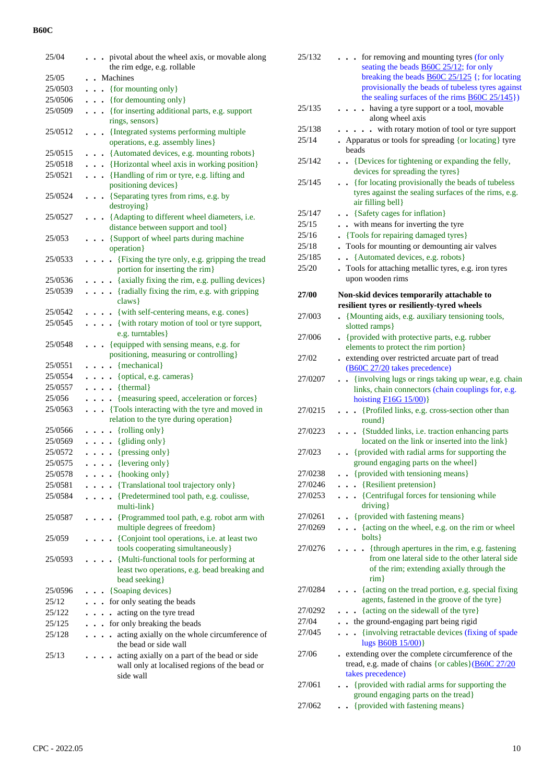| 25/04   | pivotal about the wheel axis, or movable along<br>the rim edge, e.g. rollable           |
|---------|-----------------------------------------------------------------------------------------|
| 25/05   | • Machines                                                                              |
| 25/0503 | {for mounting only}                                                                     |
|         | $\ddot{\phantom{0}}$                                                                    |
| 25/0506 | {for demounting only}<br>$\ddot{\phantom{0}}$                                           |
| 25/0509 | . {for inserting additional parts, e.g. support<br>rings, sensors }                     |
| 25/0512 | . {Integrated systems performing multiple                                               |
|         | operations, e.g. assembly lines}                                                        |
| 25/0515 | . {Automated devices, e.g. mounting robots}                                             |
| 25/0518 | . {Horizontal wheel axis in working position}                                           |
| 25/0521 | . {Handling of rim or tyre, e.g. lifting and                                            |
|         | positioning devices}                                                                    |
| 25/0524 | . {Separating tyres from rims, e.g. by                                                  |
|         | destroying }                                                                            |
| 25/0527 | {Adapting to different wheel diameters, i.e.<br>distance between support and tool}      |
| 25/053  | . {Support of wheel parts during machine                                                |
|         | operation}                                                                              |
| 25/0533 | • {Fixing the tyre only, e.g. gripping the tread                                        |
|         | portion for inserting the rim}                                                          |
| 25/0536 | {axially fixing the rim, e.g. pulling devices}                                          |
| 25/0539 | . {radially fixing the rim, e.g. with gripping                                          |
|         | claws }                                                                                 |
| 25/0542 | {with self-centering means, e.g. cones}                                                 |
| 25/0545 | . {with rotary motion of tool or tyre support,                                          |
|         | e.g. turntables }                                                                       |
| 25/0548 | . {equipped with sensing means, e.g. for                                                |
|         | positioning, measuring or controlling}                                                  |
| 25/0551 | $\cdots$ {mechanical}                                                                   |
| 25/0554 | $\ldots$ {optical, e.g. cameras}                                                        |
| 25/0557 | $\ldots$ {thermal}                                                                      |
| 25/056  | {measuring speed, acceleration or forces}<br>.                                          |
| 25/0563 | {Tools interacting with the tyre and moved in                                           |
|         | relation to the tyre during operation}                                                  |
| 25/0566 | $\ldots$ {rolling only}                                                                 |
| 25/0569 | {gliding only}<br>.                                                                     |
| 25/0572 | $\cdots$ (pressing only)                                                                |
| 25/0575 | $\ldots$ (levering only)                                                                |
| 25/0578 | {hooking only}                                                                          |
| 25/0581 | {Translational tool trajectory only}<br>$\ddot{\phantom{a}}$                            |
| 25/0584 | {Predetermined tool path, e.g. coulisse,<br>$\cdots$                                    |
|         | multi-link}                                                                             |
| 25/0587 | {Programmed tool path, e.g. robot arm with<br>$\bullet$<br>multiple degrees of freedom} |
| 25/059  | {Conjoint tool operations, i.e. at least two                                            |
|         | tools cooperating simultaneously}                                                       |
| 25/0593 | {Multi-functional tools for performing at                                               |
|         | least two operations, e.g. bead breaking and                                            |
|         | bead seeking}                                                                           |
| 25/0596 | {Soaping devices}                                                                       |
| 25/12   | for only seating the beads<br>$\ddot{\phantom{0}}$                                      |
| 25/122  | acting on the tyre tread                                                                |
| 25/125  | for only breaking the beads<br>$\bullet$                                                |
| 25/128  | acting axially on the whole circumference of                                            |
|         | the bead or side wall                                                                   |
| 25/13   | acting axially on a part of the bead or side                                            |
|         | wall only at localised regions of the bead or                                           |
|         | side wall                                                                               |
|         |                                                                                         |
|         |                                                                                         |

| 25/132  | for removing and mounting tyres (for only<br>seating the beads <b>B60C</b> 25/12; for only<br>breaking the beads $\underline{B60C}$ 25/125 {; for locating<br>provisionally the beads of tubeless tyres against<br>the sealing surfaces of the rims $\angle B60C \, 25/145$ ) |
|---------|-------------------------------------------------------------------------------------------------------------------------------------------------------------------------------------------------------------------------------------------------------------------------------|
| 25/135  | - having a tyre support or a tool, movable<br>along wheel axis                                                                                                                                                                                                                |
| 25/138  | - with rotary motion of tool or tyre support                                                                                                                                                                                                                                  |
| 25/14   | • Apparatus or tools for spreading {or locating} tyre<br>beads                                                                                                                                                                                                                |
| 25/142  | {Devices for tightening or expanding the felly,<br>$\sim$<br>devices for spreading the tyres}                                                                                                                                                                                 |
| 25/145  | {for locating provisionally the beads of tubeless<br>$\ddot{\phantom{0}}$<br>tyres against the sealing surfaces of the rims, e.g.<br>air filling bell}                                                                                                                        |
| 25/147  | . . {Safety cages for inflation}                                                                                                                                                                                                                                              |
| 25/15   | . with means for inverting the tyre                                                                                                                                                                                                                                           |
| 25/16   | . {Tools for repairing damaged tyres}                                                                                                                                                                                                                                         |
| 25/18   | Tools for mounting or demounting air valves                                                                                                                                                                                                                                   |
| 25/185  | • {Automated devices, e.g. robots}                                                                                                                                                                                                                                            |
| 25/20   | . Tools for attaching metallic tyres, e.g. iron tyres                                                                                                                                                                                                                         |
|         | upon wooden rims                                                                                                                                                                                                                                                              |
| 27/00   | Non-skid devices temporarily attachable to<br>resilient tyres or resiliently-tyred wheels                                                                                                                                                                                     |
| 27/003  | {Mounting aids, e.g. auxiliary tensioning tools,<br>slotted ramps}                                                                                                                                                                                                            |
| 27/006  | {provided with protective parts, e.g. rubber<br>elements to protect the rim portion}                                                                                                                                                                                          |
| 27/02   | . extending over restricted arcuate part of tread<br>(B60C 27/20 takes precedence)                                                                                                                                                                                            |
| 27/0207 | {involving lugs or rings taking up wear, e.g. chain<br>$\ddot{\phantom{0}}$<br>links, chain connectors (chain couplings for, e.g.<br>hoisting $F16G 15/00$                                                                                                                    |
| 27/0215 | {Profiled links, e.g. cross-section other than<br>$\cdots$<br>round}                                                                                                                                                                                                          |
| 27/0223 | • {Studded links, i.e. traction enhancing parts<br>located on the link or inserted into the link}                                                                                                                                                                             |
| 27/023  | {provided with radial arms for supporting the<br>ground engaging parts on the wheel}                                                                                                                                                                                          |
| 27/0238 | • {provided with tensioning means}                                                                                                                                                                                                                                            |
| 27/0246 | . {Resilient pretension}                                                                                                                                                                                                                                                      |
| 27/0253 | . {Centrifugal forces for tensioning while<br>driving}                                                                                                                                                                                                                        |
| 27/0261 | • {provided with fastening means}                                                                                                                                                                                                                                             |
| 27/0269 | {acting on the wheel, e.g. on the rim or wheel<br>$\ddot{\phantom{0}}$<br>bolts }                                                                                                                                                                                             |
| 27/0276 | • {through apertures in the rim, e.g. fastening<br>from one lateral side to the other lateral side<br>of the rim; extending axially through the<br>$\dim$                                                                                                                     |
| 27/0284 | {acting on the tread portion, e.g. special fixing<br>$\ddot{\phantom{0}}$<br>agents, fastened in the groove of the tyre}                                                                                                                                                      |
| 27/0292 | {acting on the sidewall of the tyre}                                                                                                                                                                                                                                          |
| 27/04   | . . the ground-engaging part being rigid                                                                                                                                                                                                                                      |
| 27/045  | . {involving retractable devices (fixing of spade<br>lugs <b>B60B</b> 15/00)}                                                                                                                                                                                                 |
| 27/06   | - extending over the complete circumference of the<br>tread, e.g. made of chains {or cables} (B60C 27/20)<br>takes precedence)                                                                                                                                                |
| 27/061  | {provided with radial arms for supporting the<br>$\ddot{\phantom{a}}$                                                                                                                                                                                                         |
| 27/062  | ground engaging parts on the tread}<br>{provided with fastening means}                                                                                                                                                                                                        |
|         |                                                                                                                                                                                                                                                                               |